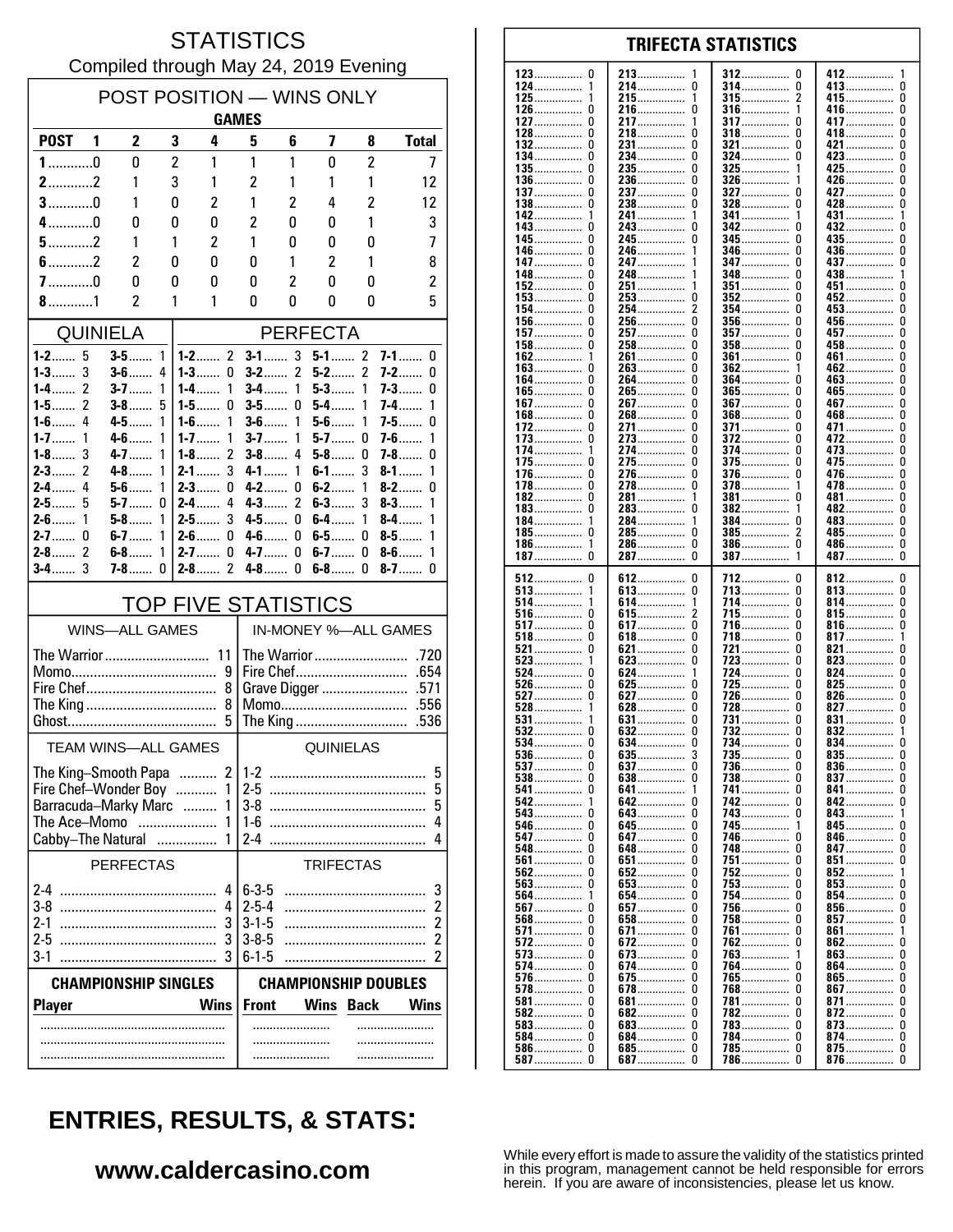#### **STATISTICS** Compiled through May 24, 2019 Evening

| POST POSITION - WINS ONLY<br><b>GAMES</b>       |                              |                |                                         |                            |                          |                             |                     |                          |  |  |
|-------------------------------------------------|------------------------------|----------------|-----------------------------------------|----------------------------|--------------------------|-----------------------------|---------------------|--------------------------|--|--|
| <b>POST</b>                                     | $\mathbf{2}$<br>1            | 3              | 4                                       | 5                          | 6                        | 7                           | 8                   | <b>Total</b>             |  |  |
| $1$ 0                                           | $\mathbf{0}$                 | $\overline{c}$ | 1                                       | 1                          | 1                        | 0                           | $\overline{c}$      | 7                        |  |  |
| $2$ 2                                           | 1                            | 3              | 1                                       | $\overline{c}$             | 1                        | 1                           | 1                   | 12                       |  |  |
| $3$ 0                                           | 1                            | 0              | $\overline{c}$                          | 1                          | $\overline{c}$           | 4                           | $\overline{c}$      | 12                       |  |  |
| $4$ 0                                           | 0                            | 0              | 0                                       | 2<br>1                     | 0                        | 0                           | 1                   | 3                        |  |  |
| $5$ 2<br>$6$ 2                                  | 1<br>$\overline{\mathbf{c}}$ | 1<br>0         | 2<br>0                                  | 0                          | 0<br>1                   | 0<br>$\overline{c}$         | 0<br>1              | 7<br>8                   |  |  |
| $7$ 0                                           | 0                            | 0              | 0                                       | 0                          | 2                        | 0                           | 0                   | 2                        |  |  |
| $8$ 1                                           | 2                            | 1              | 1                                       | 0                          | 0                        | 0                           | 0                   | 5                        |  |  |
| <b>QUINIELA</b><br><b>PERFECTA</b>              |                              |                |                                         |                            |                          |                             |                     |                          |  |  |
| $1-2$<br>5                                      | $3-5$                        | 1              | $1 - 2$ 2                               | $3-1$                      | 3                        | $5 - 1$ 2                   |                     | $7-1$<br>0               |  |  |
| $1 - 3$ 3<br>2<br>1-4……                         | $3-6$<br>$3-7$               | 4<br>1         | $1 - 3$<br>0<br>$1 - 4$<br>1            | $3-2$<br>$3-4$             | $\overline{2}$<br>1      | $5-2$<br>$5 - 3$            | $\overline{2}$<br>1 | 7-2……<br>0<br>7-3……<br>0 |  |  |
| 2<br>1-5. $\dots$                               | $3-8$                        | 5              | $1 - 5$<br>0                            | $3-5$                      | 0                        | $5-4$                       | 1                   | 7-4……<br>1               |  |  |
| 4<br>$1-6$                                      | $4 - 5$                      | 1              | 1<br>$1-6$                              | $3-6$                      | 1                        | $5 - 6$                     | 1                   | 7-5……<br>0               |  |  |
| $1 - 7$<br>1<br>$1-8$<br>3                      | $4-6$<br>$4 - 7$             | 1<br>1         | $1 - 7$<br>1<br>$\overline{2}$<br>$1-8$ | $3 - 7$<br>$3-8$           | 1<br>4                   | $5-7$<br>$5-8$              | 0<br>0              | $7-6$<br>1<br>7-8……<br>0 |  |  |
| $2 - 3$<br>2                                    | $4 - 8$                      | 1              | 3<br>$2 - 1$                            | 4-1                        | 1                        | $6-1$                       | 3                   | $8 - 1$<br>1             |  |  |
| 4<br>$2-4$                                      | $5-6$<br>$5-7$               | 1              | $2-3$<br>0                              | $4 - 2$                    | 0<br>$\overline{2}$      | $6 - 2$<br>$6-3$            | 1<br>3              | $8-2$<br>0<br>$8-3$      |  |  |
| $2-5$<br>5<br>$2 - 6$<br>1                      | $5-8$                        | 0<br>1         | $2-4$<br>4<br>3<br>2-5……                | $4-3$<br>4-5……             | 0                        | $6-4$                       | 1                   | 1<br>$8-4$<br>1          |  |  |
| $2 - 7$<br>0                                    | $6-7$                        | 1              | $2-6$<br>0                              | 4-6……                      | 0                        | $6-5$                       | 0                   | 1<br>$8-5$               |  |  |
| $\mathcal{P}$<br>$2-8$<br>3<br>$3-4$            | $6-8$<br>$7-8$               | 1<br>0         | $2 - 7$<br>0<br>2<br>$2 - 8$            | $4 - 7$<br>$4-8$           | 0<br>$\Omega$            | $6-7$<br>$6-8$              | 0<br>0              | $8-6$<br>1<br>$8-7$<br>0 |  |  |
|                                                 |                              |                |                                         |                            |                          |                             |                     |                          |  |  |
|                                                 | <b>WINS-ALL GAMES</b>        |                | <b>TOP FIVE STATISTICS</b>              |                            |                          | IN-MONEY %-ALL GAMES        |                     |                          |  |  |
|                                                 | The Warrior 11               |                |                                         |                            |                          |                             |                     |                          |  |  |
|                                                 |                              |                | 9                                       | Fire Chef<br>.654          |                          |                             |                     |                          |  |  |
| 8                                               |                              |                |                                         |                            | Momo<br>.556             |                             |                     |                          |  |  |
| 8<br>5<br>The King<br>.536                      |                              |                |                                         |                            |                          |                             |                     |                          |  |  |
| <b>TEAM WINS-ALL GAMES</b>                      |                              |                |                                         | QUINIELAS                  |                          |                             |                     |                          |  |  |
| $\overline{2}$<br>The King-Smooth Papa<br>$1-2$ |                              |                |                                         |                            |                          | 5                           |                     |                          |  |  |
| Fire Chef-Wonder Boy<br>1                       |                              |                |                                         |                            | 2-5<br>5                 |                             |                     |                          |  |  |
| Barracuda-Marky Marc<br>1<br>The Ace–Momo<br>1  |                              |                |                                         |                            | $3-8$<br>5<br>$1-6$<br>4 |                             |                     |                          |  |  |
|                                                 | Cabby-The Natural            | .              | 1                                       | $2 - 4$                    |                          |                             |                     | 4                        |  |  |
| <b>PERFECTAS</b>                                |                              |                |                                         |                            | <b>TRIFECTAS</b>         |                             |                     |                          |  |  |
|                                                 |                              |                | 4                                       | $6 - 3 - 5$                |                          |                             |                     | 3                        |  |  |
| 3-8<br>2-1                                      |                              |                | 4<br>3                                  | $2 - 5 - 4$<br>$3 - 1 - 5$ |                          |                             |                     | 2<br>2                   |  |  |
| 2-5                                             |                              |                | 3                                       | $3 - 8 - 5$                |                          |                             |                     | 2                        |  |  |
| $3-1$                                           | $6 - 1 - 5$<br>2             |                |                                         |                            |                          |                             |                     |                          |  |  |
|                                                 | <b>CHAMPIONSHIP SINGLES</b>  |                |                                         |                            |                          | <b>CHAMPIONSHIP DOUBLES</b> |                     |                          |  |  |
| <b>Player</b>                                   |                              |                | <b>Wins</b>                             | <b>Front</b>               |                          | Wins                        | <b>Back</b>         | <b>Wins</b>              |  |  |
|                                                 |                              |                |                                         |                            | .                        |                             |                     |                          |  |  |
|                                                 |                              |                |                                         |                            |                          |                             |                     |                          |  |  |

| 123……………… 0  | 213             | 312              | 412……………      |
|--------------|-----------------|------------------|---------------|
|              | 1               | U                | -1            |
| 124……………     | 214……………        | 314……………         | 413           |
|              | 0               | 0                | 0             |
| 125……………     | 215             | 315              | 415           |
|              | 1               | 2                | 0             |
| 126          | 216<br>0        | 316              | 416<br>0      |
| 127……………     | 217             | <b>317</b>       | 417           |
|              | 1               | 0                | 0             |
| 128……………     | 218……………        | <b>318</b>       | 418……………      |
| 0            | 0               | 0                | 0             |
| 132…………… 0   | 231……………        | <b>321 </b>      | 421           |
|              | 0               | 0                | 0             |
| 134……………     | 234……………        | 324              | 423……………      |
| 0            | 0               | 0                | 0             |
| 135……………     | 235……………        | 325              | 425           |
| 0            | 0               | 1                | 0             |
| 136……………     | 236             | $326$            | 426……………      |
| 0            | 0               | 1                | 0             |
| 137          | 237……………        | 327              | 427           |
|              | 0               | 0                | 0             |
| 138……………     | 0               | $328 \dots 328$  | 428……………      |
|              | 238……………        | 0                | 0             |
| 142          | 241             | 341              | 431           |
|              | 1               | 1                | 1             |
|              |                 |                  |               |
| 143……………     | 243……………        | <b>342</b>       | 432……………      |
|              | 0               | U                | 0             |
| 145……………     | 245……………        | <b>345</b><br>0  | 435<br>U      |
| 146……………     | 246……………        | 346<br>0         | 436……………<br>0 |
| 147……………     | 247……………        | <b>347</b>       | 437           |
|              | 1               | 0                | 0             |
| 148……………     | 248……………        | 348……………         | 438……………      |
|              | 1               | 0                | 1             |
| 152          | 251             | <b>351 </b><br>0 | 451<br>U      |
| 153……………     | 253             | $352$            | 452           |
|              | 0               | 0                | 0             |
| 154……………     | 254             | $354$            | 453           |
|              | 2               | 0                | 0             |
| 156          | 256             | $356$            | 456……………      |
|              | 0               | 0                | 0             |
| 157.         | 257             | 357<br>0         | 457<br>U      |
| 158……………     | 258             | $358$            | 458           |
| 0            | 0               | 0                | 0             |
| 162          | 261             | $361$            | 461           |
|              | 0               | 0                | 0             |
| 163          | 0               | 362<br>1         | 0             |
|              | 263……………<br>0   |                  | 462……………      |
| 164……………     | 264             | 364              | 463           |
|              | 0               | 0                | 0             |
| 165……………     | 265……………        | $365$            | 465           |
| 0            |                 | U                | U             |
| 167          | 267             | 367              | 467           |
| 0            | 0               | 0                | 0             |
| 168          | 268……………        | $368$            | 468           |
|              | 0               | 0                | 0             |
| 172          | 271             | 371              | 471           |
|              | 0               | 0                | 0             |
| 173.         | 273             | 372              | 472           |
|              | 0               | 0                | 0             |
| 174          | 274……………        | 374              | 473           |
|              | 0               | 0                | 0             |
| 175……………     | 275             | $375$            | 475           |
|              | 0               | 0                | 0             |
| 176……………     | 276……………        | 376……………         | 476……………      |
|              | 0               | 0                | 0             |
| 178……………     | 278……………        | 378……………         | 478……………      |
| 0            | 0               | 1                | 0             |
| 182          | 281……………        | $381$            | 481           |
| 0            | 1               | 0                | 0             |
| 183……………     | 283             | 382              | 482……………      |
|              | 0               | 1                | 0             |
| 184……………     | 284……………        | 384              | 483           |
| 1            | 1               | 0                | 0             |
| 0            | 0               | 2                |               |
| 185……………     | 285……………        | $385$            | 485……………<br>0 |
| 186……………     | 286……………        | $386 \dots 386$  | 486……………      |
| 1            | 0               | 0                | 0             |
| 187……………     | 287<br>0        | 387              | 487<br>0      |
|              |                 |                  |               |
|              |                 |                  |               |
| 512          | 612             | 712              | 812           |
| 0            | 0               | 0                | 0             |
| $513$        | 613             | 713              | 813           |
|              | 0               | 0                | 0             |
| 514          | 614             | 714              | 814           |
| 1            | 1               | 0                | 0             |
| 516          | 615             | 715              | 815           |
| 0            | 2               | 0                | 0             |
| 517          | 617             | 716……………         | 816           |
|              | 0               | 0                | 0             |
| <b>518</b>   | 618……………        | 718              | 817……………      |
| 0            | 0               | 0                | 1             |
| 521          | 621             | 721              | 821           |
|              | 0               | 0                | 0             |
|              | 0               | 723<br>0         | 823<br>0      |
| $523$<br>0   | 623<br>1        | 0                | 0             |
| 524<br>0     | 624……………<br>0   | 724<br>725<br>0  | 824<br>0      |
| 526          | 625<br>0        | 0                | 825<br>0      |
| <b>527</b>   | 627<br>0        | 726<br>728<br>0  | 826<br>0      |
| $528$        | 628……………        |                  | 827……………      |
| 531          | 631             | 731              | 831           |
|              | 0               | 0                | 0             |
| <b>532</b>   | 632             | 732              | 832           |
|              | 0               | 0                | 1             |
| 534          | 634……………        | 734              | 834           |
| 0            | 0               | 0                | 0             |
| $536$        | 635             | 735……………         | $835$         |
| 0            | 3               | O                | 0             |
| <b>537</b> 0 | <b>637</b><br>0 |                  | 836<br>U      |
|              | 638             | 738              | $837$         |
|              | 0               | U                | 0             |
| 541          | 641             | 741              | 841           |
| $542$        | 642             | <b>742</b>       | 842           |
|              | 0               | U                | U             |
|              | 643             | <b>743</b>       | 843           |
|              | 0               | 0                | 1             |
| <b>546</b> 0 | <b>645</b>      | 745              | 845           |
|              | 0               | 1                | U             |
| 547          | 647             | 746<br>U         | 846<br>U      |
| 548……………     | 648……………        | 748              | 847           |
| 0            | 0               | U                | U             |
|              | <b>651</b>      | 751              | $851$         |
|              | 0               | 0                | U             |
|              | 652             | 752              | 852           |
|              | 0               | 0                | 1             |
| $563$        | <b>653</b>      | <b>753</b>       | $853$         |
|              | 0               | 0                | U             |
| 1            | 654……………        | 754              | 854           |
|              | 0               | U                | U             |
| 564          | 0               | 0                | U             |
|              | <b>657</b><br>0 | 756              | 856           |
|              | 658……………        | <b>758</b><br>U  | 857<br>U      |
| 571 0        | <b>671</b><br>0 | 761<br>0         | 861           |
| $572$        | 672             | 762              | 862           |
| 0            | 0               | 0                | U             |
|              | 673             | 763              | 863           |
|              | 0               | 1                | 0             |
| 574 0        | 674             | 764              | 864           |
|              | 0               | U                | U             |
| <b>576</b>   | <b>675</b>      | 765              | 865           |
| 0            | 0               | 0                | U             |
| <b>578</b> 0 | 678……………        | 768              | 867           |
|              | 0               | 0                | 0             |
|              | 681             | 781              | 871           |
|              | 0               | U                | 0             |
|              | <b>682</b>      | 782              | 872           |
|              | 0               | 0                | U             |
| $583 \ldots$ | <b>683</b>      | 783              | 873           |
| 0            | 0               | 0                | U             |
| 584 0        | 684……………        | 784……………         | 874           |
|              | 0               | 0                | 0             |
|              | <b>685</b>      | 785              | 875           |
|              | 0               | 0                | 0             |
|              | <b>687</b> 0    | 786…………… 0       | 876 0         |

**TRIFECTA STATISTICS** 

# **ENTRIES, RESULTS, & STATS:**

### www.caldercasino.com

While every effort is made to assure the validity of the statistics printed<br>in this program, management cannot be held responsible for errors<br>herein. If you are aware of inconsistencies, please let us know.